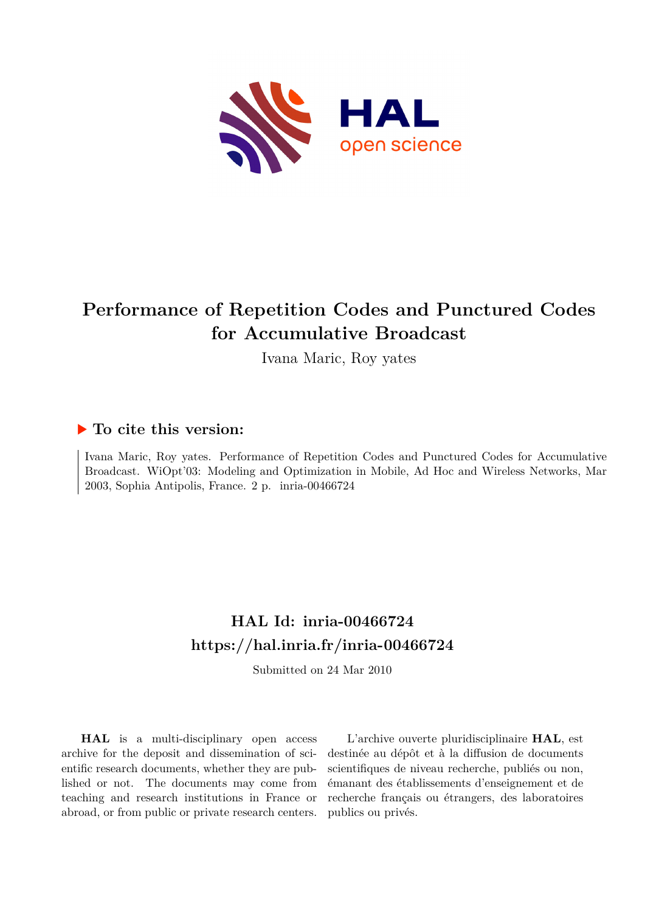

# **Performance of Repetition Codes and Punctured Codes for Accumulative Broadcast**

Ivana Maric, Roy yates

### **To cite this version:**

Ivana Maric, Roy yates. Performance of Repetition Codes and Punctured Codes for Accumulative Broadcast. WiOpt'03: Modeling and Optimization in Mobile, Ad Hoc and Wireless Networks, Mar 2003, Sophia Antipolis, France. 2 p. inria-00466724

## **HAL Id: inria-00466724 <https://hal.inria.fr/inria-00466724>**

Submitted on 24 Mar 2010

**HAL** is a multi-disciplinary open access archive for the deposit and dissemination of scientific research documents, whether they are published or not. The documents may come from teaching and research institutions in France or abroad, or from public or private research centers.

L'archive ouverte pluridisciplinaire **HAL**, est destinée au dépôt et à la diffusion de documents scientifiques de niveau recherche, publiés ou non, émanant des établissements d'enseignement et de recherche français ou étrangers, des laboratoires publics ou privés.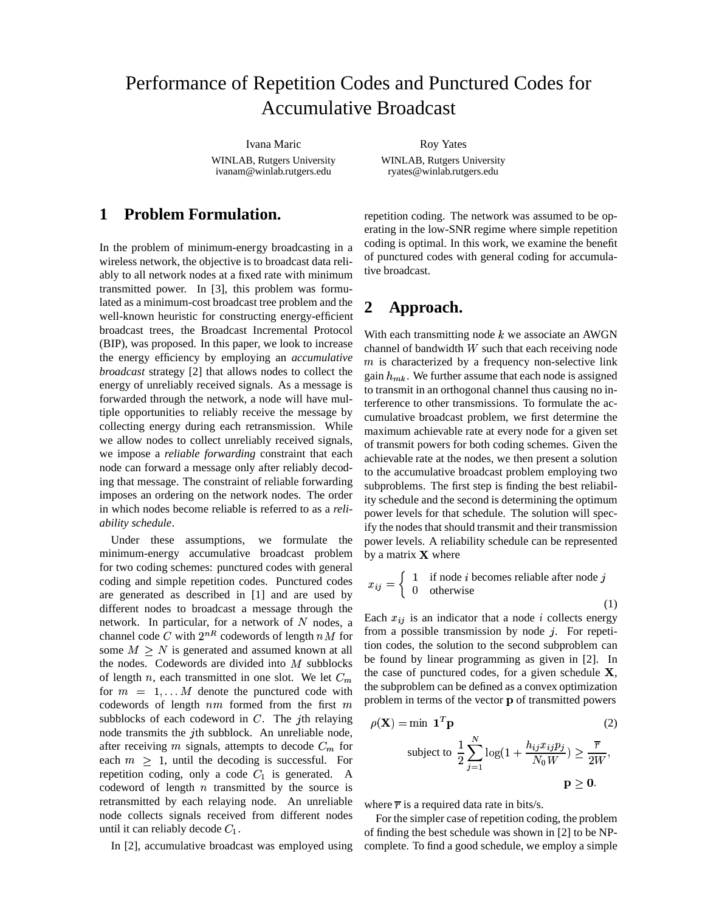### Performance of Repetition Codes and Punctured Codes for Accumulative Broadcast

Ivana Maric WINLAB, Rutgers University ivanam@winlab.rutgers.edu

Roy Yates WINLAB, Rutgers University ryates@winlab.rutgers.edu

### **1 Problem Formulation.**

In the problem of minimum-energy broadcasting in a wireless network, the objective is to broadcast data reliably to all network nodes at a fixed rate with minimum transmitted power. In [3], this problem was formulated as a minimum-cost broadcast tree problem and the well-known heuristic for constructing energy-efficient broadcast trees, the Broadcast Incremental Protocol (BIP), was proposed. In this paper, we look to increase the energy efficiency by employing an *accumulative broadcast* strategy [2] that allows nodes to collect the energy of unreliably received signals. As a message is forwarded through the network, a node will have multiple opportunities to reliably receive the message by collecting energy during each retransmission. While we allow nodes to collect unreliably received signals, we impose a *reliable forwarding* constraint that each node can forward a message only after reliably decoding that message. The constraint of reliable forwarding imposes an ordering on the network nodes. The order in which nodes become reliable is referred to as a *reliability schedule*.

Under these assumptions, we formulate the minimum-energy accumulative broadcast problem for two coding schemes: punctured codes with general coding and simple repetition codes. Punctured codes are generated as described in [1] and are used by different nodes to broadcast a message through the network. In particular, for a network of N nodes, a  $\epsilon^{\text{Eacn}}$ channel code C with  $2^{nR}$  codewords of length  $nM$  for  $\frac{10011}{n}$  a possible some  $M \geq N$  is generated and assumed known at all the nodes. Codewords are divided into  $M$  subblocks of length n, each transmitted in one slot. We let  $C_m$ for  $m = 1, \ldots M$  denote the punctured code with codewords of length  $nm$  formed from the first  $m$ subblocks of each codeword in  $C$ . The *j*th relaying node transmits the  $j$ th subblock. An unreliable node, after receiving m signals, attempts to decode  $C_m$  for each  $m \geq 1$ , until the decoding is successful. For repetition coding, only a code  $C_1$  is generated. A codeword of length  $n$  transmitted by the source is retransmitted by each relaying node. An unreliable node collects signals received from different nodes until it can reliably decode  $C_1$ .

In [2], accumulative broadcast was employed using

repetition coding. The network was assumed to be operating in the low-SNR regime where simple repetition coding is optimal. In this work, we examine the benefit of punctured codes with general coding for accumulative broadcast.

#### **2 Approach.**

With each transmitting node  $k$  we associate an AWGN channel of bandwidth  $W$  such that each receiving node  $m$  is characterized by a frequency non-selective link gain  $h_{mk}$ . We further assume that each node is assigned to transmit in an orthogonal channel thus causing no interference to other transmissions. To formulate the accumulative broadcast problem, we first determine the maximum achievable rate at every node for a given set of transmit powers for both coding schemes. Given the achievable rate at the nodes, we then present a solution to the accumulative broadcast problem employing two subproblems. The first step is finding the best reliability schedule and the second is determining the optimum power levels for that schedule. The solution will specify the nodes that should transmit and their transmission power levels. A reliability schedule can be represented by a matrix  $X$  where

$$
x_{ij} = \begin{cases} 1 & \text{if node } i \text{ becomes reliable after node } j \\ 0 & \text{otherwise} \end{cases}
$$
 (1)

Each  $x_{ij}$  is an indicator that a node i collects energy from a possible transmission by node  $j$ . For repetition codes, the solution to the second subproblem can be found by linear programming as given in [2]. In the case of punctured codes, for a given schedule  $X$ , the subproblem can be defined as a convex optimization problem in terms of the vector p of transmitted powers

$$
\rho(\mathbf{X}) = \min \mathbf{1}^T \mathbf{p}
$$
\nsubject to

\n
$$
\frac{1}{2} \sum_{j=1}^N \log(1 + \frac{h_{ij} x_{ij} p_j}{N_0 W}) \ge \frac{\overline{r}}{2W},
$$
\n
$$
\mathbf{p} > \mathbf{0}.
$$

where  $\overline{r}$  is a required data rate in bits/s.

For the simpler case of repetition coding, the problem of finding the best schedule was shown in [2] to be NPcomplete. To find a good schedule, we employ a simple